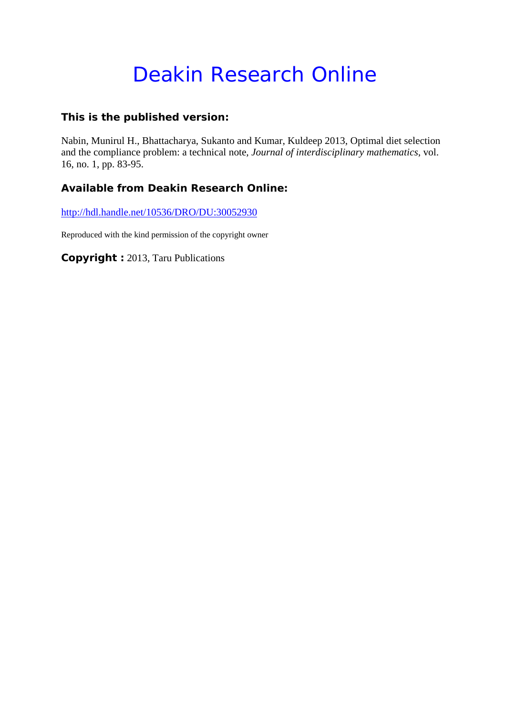# Deakin Research Online

### **This is the published version:**

Nabin, Munirul H., Bhattacharya, Sukanto and Kumar, Kuldeep 2013, Optimal diet selection and the compliance problem: a technical note*, Journal of interdisciplinary mathematics*, vol. 16, no. 1, pp. 83-95.

## **Available from Deakin Research Online:**

http://hdl.handle.net/10536/DRO/DU:30052930

Reproduced with the kind permission of the copyright owner

**Copyright :** 2013, Taru Publications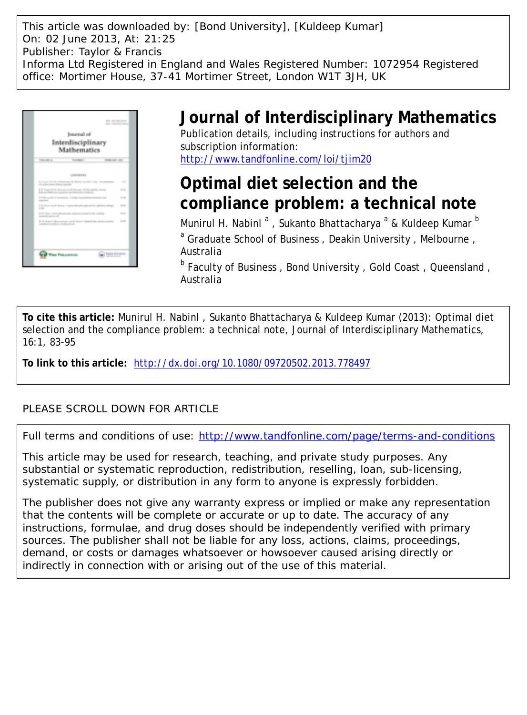This article was downloaded by: [Bond University], [Kuldeep Kumar] On: 02 June 2013, At: 21:25 Publisher: Taylor & Francis Informa Ltd Registered in England and Wales Registered Number: 1072954 Registered office: Mortimer House, 37-41 Mortimer Street, London W1T 3JH, UK



# **Journal of Interdisciplinary Mathematics**

Publication details, including instructions for authors and subscription information: <http://www.tandfonline.com/loi/tjim20>

# **Optimal diet selection and the compliance problem: a technical note**

Munirul H. Nabinl <sup>a</sup> , Sukanto Bhattacharya <sup>a</sup> & Kuldeep Kumar <sup>b</sup> <sup>a</sup> Graduate School of Business, Deakin University, Melbourne, Australia

<sup>b</sup> Faculty of Business, Bond University, Gold Coast, Queensland, Australia

**To cite this article:** Munirul H. Nabinl , Sukanto Bhattacharya & Kuldeep Kumar (2013): Optimal diet selection and the compliance problem: a technical note, Journal of Interdisciplinary Mathematics, 16:1, 83-95

**To link to this article:** <http://dx.doi.org/10.1080/09720502.2013.778497>

### PLEASE SCROLL DOWN FOR ARTICLE

Full terms and conditions of use:<http://www.tandfonline.com/page/terms-and-conditions>

This article may be used for research, teaching, and private study purposes. Any substantial or systematic reproduction, redistribution, reselling, loan, sub-licensing, systematic supply, or distribution in any form to anyone is expressly forbidden.

The publisher does not give any warranty express or implied or make any representation that the contents will be complete or accurate or up to date. The accuracy of any instructions, formulae, and drug doses should be independently verified with primary sources. The publisher shall not be liable for any loss, actions, claims, proceedings, demand, or costs or damages whatsoever or howsoever caused arising directly or indirectly in connection with or arising out of the use of this material.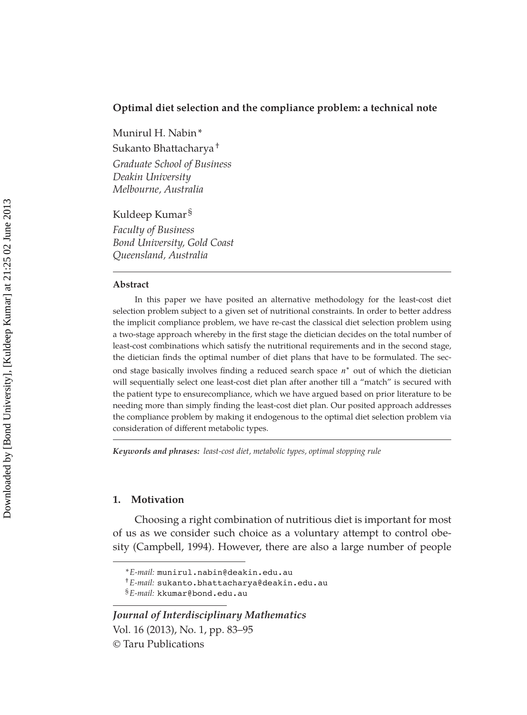#### **Optimal diet selection and the compliance problem: a technical note**

Munirul H. Nabin \*

Sukanto Bhattacharya †

*Graduate School of Business Deakin University Melbourne, Australia*

Kuldeep Kumar §

*Faculty of Business Bond University, Gold Coast Queensland, Australia*

#### **Abstract**

In this paper we have posited an alternative methodology for the least-cost diet selection problem subject to a given set of nutritional constraints. In order to better address the implicit compliance problem, we have re-cast the classical diet selection problem using a two-stage approach whereby in the first stage the dietician decides on the total number of least-cost combinations which satisfy the nutritional requirements and in the second stage, the dietician finds the optimal number of diet plans that have to be formulated. The sec-

ond stage basically involves finding a reduced search space  $n^*$  out of which the dietician will sequentially select one least-cost diet plan after another till a "match" is secured with the patient type to ensurecompliance, which we have argued based on prior literature to be needing more than simply finding the least-cost diet plan. Our posited approach addresses the compliance problem by making it endogenous to the optimal diet selection problem via consideration of different metabolic types.

*Keywords and phrases: least-cost diet, metabolic types, optimal stopping rule*

#### **1. Motivation**

Choosing a right combination of nutritious diet is important for most of us as we consider such choice as a voluntary attempt to control obesity (Campbell, 1994). However, there are also a large number of people

*<sup>\*</sup> E-mail:* munirul.nabin@deakin.edu.au

<sup>†</sup> *E-mail:* sukanto.bhattacharya@deakin.edu.au

<sup>§</sup> *E-mail:* kkumar@bond.edu.au

*Journal of Interdisciplinary Mathematics* Vol. 16 (2013), No. 1, pp. 83–95 © Taru Publications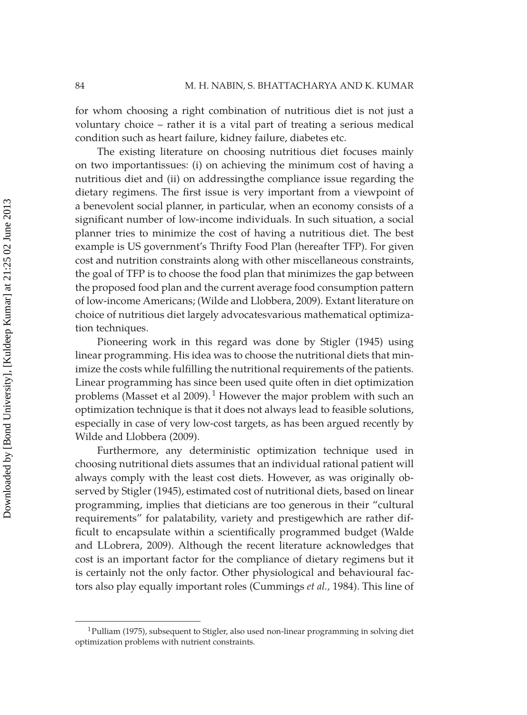for whom choosing a right combination of nutritious diet is not just a voluntary choice – rather it is a vital part of treating a serious medical condition such as heart failure, kidney failure, diabetes etc.

The existing literature on choosing nutritious diet focuses mainly on two importantissues: (i) on achieving the minimum cost of having a nutritious diet and (ii) on addressingthe compliance issue regarding the dietary regimens. The first issue is very important from a viewpoint of a benevolent social planner, in particular, when an economy consists of a significant number of low-income individuals. In such situation, a social planner tries to minimize the cost of having a nutritious diet. The best example is US government's Thrifty Food Plan (hereafter TFP). For given cost and nutrition constraints along with other miscellaneous constraints, the goal of TFP is to choose the food plan that minimizes the gap between the proposed food plan and the current average food consumption pattern of low-income Americans; (Wilde and Llobbera, 2009). Extant literature on choice of nutritious diet largely advocatesvarious mathematical optimization techniques.

Pioneering work in this regard was done by Stigler (1945) using linear programming. His idea was to choose the nutritional diets that minimize the costs while fulfilling the nutritional requirements of the patients. Linear programming has since been used quite often in diet optimization problems (Masset et al 2009).<sup>1</sup> However the major problem with such an optimization technique is that it does not always lead to feasible solutions, especially in case of very low-cost targets, as has been argued recently by Wilde and Llobbera (2009).

Furthermore, any deterministic optimization technique used in choosing nutritional diets assumes that an individual rational patient will always comply with the least cost diets. However, as was originally observed by Stigler (1945), estimated cost of nutritional diets, based on linear programming, implies that dieticians are too generous in their "cultural requirements" for palatability, variety and prestigewhich are rather difficult to encapsulate within a scientifically programmed budget (Walde and LLobrera, 2009). Although the recent literature acknowledges that cost is an important factor for the compliance of dietary regimens but it is certainly not the only factor. Other physiological and behavioural factors also play equally important roles (Cummings *et al.,* 1984). This line of

<sup>1</sup> Pulliam (1975), subsequent to Stigler, also used non-linear programming in solving diet optimization problems with nutrient constraints.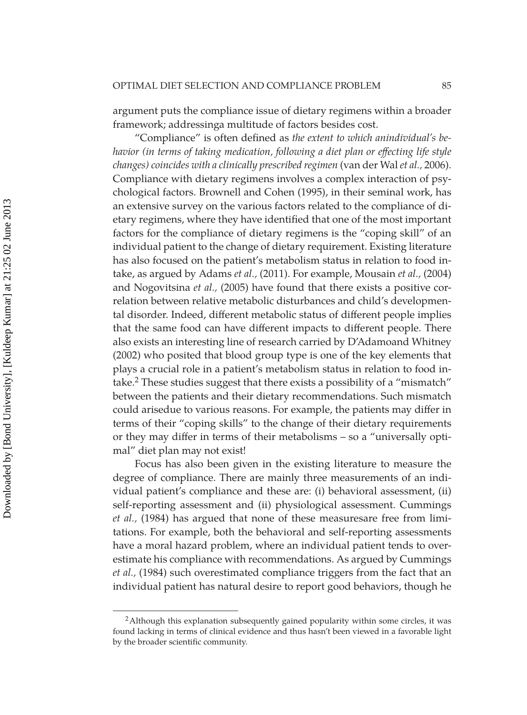argument puts the compliance issue of dietary regimens within a broader framework; addressinga multitude of factors besides cost.

"Compliance" is often defined as *the extent to which anindividual's behavior (in terms of taking medication, following a diet plan or effecting life style changes) coincides with a clinically prescribed regimen* (van der Wal *et al.,* 2006). Compliance with dietary regimens involves a complex interaction of psychological factors. Brownell and Cohen (1995), in their seminal work, has an extensive survey on the various factors related to the compliance of dietary regimens, where they have identified that one of the most important factors for the compliance of dietary regimens is the "coping skill" of an individual patient to the change of dietary requirement. Existing literature has also focused on the patient's metabolism status in relation to food intake, as argued by Adams *et al.,* (2011). For example, Mousain *et al.,* (2004) and Nogovitsina *et al.,* (2005) have found that there exists a positive correlation between relative metabolic disturbances and child's developmental disorder. Indeed, different metabolic status of different people implies that the same food can have different impacts to different people. There also exists an interesting line of research carried by D'Adamoand Whitney (2002) who posited that blood group type is one of the key elements that plays a crucial role in a patient's metabolism status in relation to food intake.2 These studies suggest that there exists a possibility of a "mismatch" between the patients and their dietary recommendations. Such mismatch could arisedue to various reasons. For example, the patients may differ in terms of their "coping skills" to the change of their dietary requirements or they may differ in terms of their metabolisms - so a "universally optimal" diet plan may not exist!

Focus has also been given in the existing literature to measure the degree of compliance. There are mainly three measurements of an individual patient's compliance and these are: (i) behavioral assessment, (ii) self-reporting assessment and (ii) physiological assessment. Cummings *et al.,* (1984) has argued that none of these measuresare free from limitations. For example, both the behavioral and self-reporting assessments have a moral hazard problem, where an individual patient tends to overestimate his compliance with recommendations. As argued by Cummings *et al.,* (1984) such overestimated compliance triggers from the fact that an individual patient has natural desire to report good behaviors, though he

<sup>&</sup>lt;sup>2</sup> Although this explanation subsequently gained popularity within some circles, it was found lacking in terms of clinical evidence and thus hasn't been viewed in a favorable light by the broader scientific community.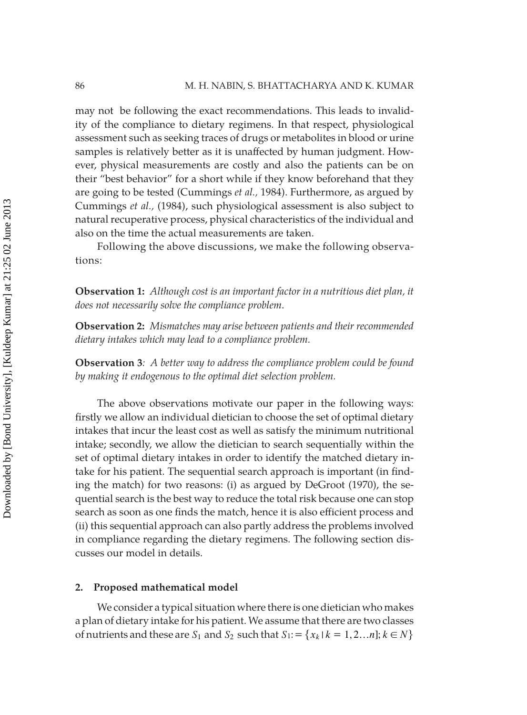may not be following the exact recommendations. This leads to invalidity of the compliance to dietary regimens. In that respect, physiological assessment such as seeking traces of drugs or metabolites in blood or urine samples is relatively better as it is unaffected by human judgment. However, physical measurements are costly and also the patients can be on their "best behavior" for a short while if they know beforehand that they are going to be tested (Cummings *et al.,* 1984). Furthermore, as argued by Cummings *et al.,* (1984), such physiological assessment is also subject to natural recuperative process, physical characteristics of the individual and also on the time the actual measurements are taken.

Following the above discussions, we make the following observations:

**Observation 1:** *Although cost is an important factor in a nutritious diet plan, it does not necessarily solve the compliance problem*.

**Observation 2:** *Mismatches may arise between patients and their recommended dietary intakes which may lead to a compliance problem.* 

**Observation 3***: A better way to address the compliance problem could be found by making it endogenous to the optimal diet selection problem.*

The above observations motivate our paper in the following ways: firstly we allow an individual dietician to choose the set of optimal dietary intakes that incur the least cost as well as satisfy the minimum nutritional intake; secondly, we allow the dietician to search sequentially within the set of optimal dietary intakes in order to identify the matched dietary intake for his patient. The sequential search approach is important (in finding the match) for two reasons: (i) as argued by DeGroot (1970), the sequential search is the best way to reduce the total risk because one can stop search as soon as one finds the match, hence it is also efficient process and (ii) this sequential approach can also partly address the problems involved in compliance regarding the dietary regimens. The following section discusses our model in details.

#### **2. Proposed mathematical model**

We consider a typical situation where there is one dietician who makes a plan of dietary intake for his patient. We assume that there are two classes of nutrients and these are  $S_1$  and  $S_2$  such that  $S_1 := \{x_k | k = 1, 2...n \}; k \in N\}$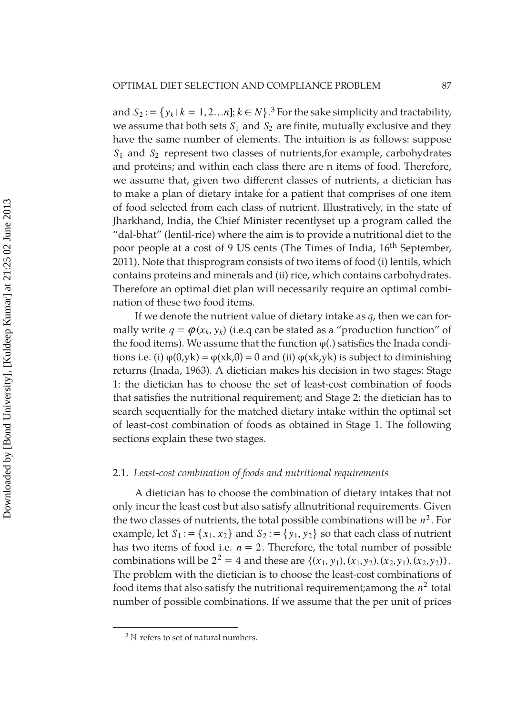and  $S_2 := \{y_k | k = 1, 2, \ldots n \}; k \in N\}$ <sup>3</sup> For the sake simplicity and tractability, we assume that both sets  $S_1$  and  $S_2$  are finite, mutually exclusive and they have the same number of elements. The intuition is as follows: suppose *S*1 and *S*2 represent two classes of nutrients,for example, carbohydrates and proteins; and within each class there are n items of food. Therefore, we assume that, given two different classes of nutrients, a dietician has to make a plan of dietary intake for a patient that comprises of one item of food selected from each class of nutrient. Illustratively, in the state of Jharkhand, India, the Chief Minister recentlyset up a program called the "dal-bhat" (lentil-rice) where the aim is to provide a nutritional diet to the poor people at a cost of 9 US cents (The Times of India, 16<sup>th</sup> September, 2011). Note that thisprogram consists of two items of food (i) lentils, which contains proteins and minerals and (ii) rice, which contains carbohydrates. Therefore an optimal diet plan will necessarily require an optimal combination of these two food items.

If we denote the nutrient value of dietary intake as *q*, then we can formally write  $q = \varphi(x_k, y_k)$  (i.e.q can be stated as a "production function" of the food items). We assume that the function  $\varphi(.)$  satisfies the Inada conditions i.e. (i)  $\varphi(0,yk) = \varphi(xk,0) = 0$  and (ii)  $\varphi(xk,yk)$  is subject to diminishing returns (Inada, 1963). A dietician makes his decision in two stages: Stage 1: the dietician has to choose the set of least-cost combination of foods that satisfies the nutritional requirement; and Stage 2: the dietician has to search sequentially for the matched dietary intake within the optimal set of least-cost combination of foods as obtained in Stage 1. The following sections explain these two stages.

#### 2.1. *Least-cost combination of foods and nutritional requirements*

A dietician has to choose the combination of dietary intakes that not only incur the least cost but also satisfy allnutritional requirements. Given the two classes of nutrients, the total possible combinations will be  $n^2$ . For example, let  $S_1 := \{x_1, x_2\}$  and  $S_2 := \{y_1, y_2\}$  so that each class of nutrient has two items of food i.e.  $n = 2$ . Therefore, the total number of possible combinations will be  $2^2 = 4$  and these are  $\{(x_1, y_1), (x_1, y_2), (x_2, y_1), (x_2, y_2)\}.$ The problem with the dietician is to choose the least-cost combinations of food items that also satisfy the nutritional requirement; among the  $n^2$  total number of possible combinations. If we assume that the per unit of prices

 $3N$  refers to set of natural numbers.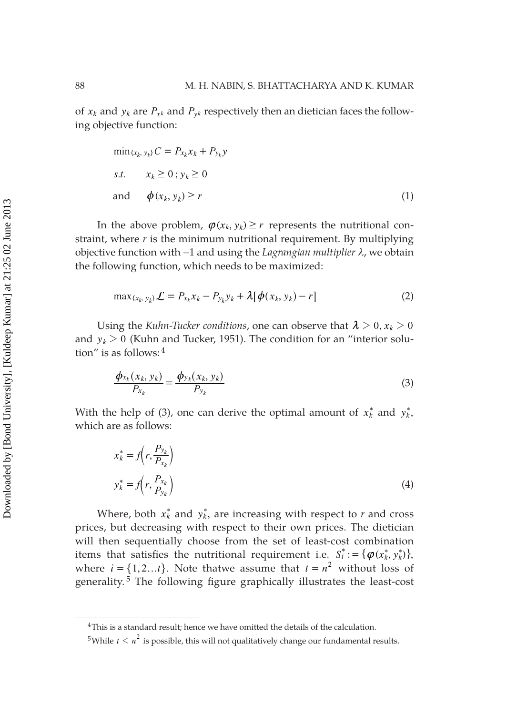of  $x_k$  and  $y_k$  are  $P_{x_k}$  and  $P_{y_k}$  respectively then an dietician faces the following objective function:

$$
\min_{\{x_k, y_k\}} C = P_{x_k} x_k + P_{y_k} y
$$
  
s.t.  $x_k \ge 0$ ;  $y_k \ge 0$   
and  $\phi(x_k, y_k) \ge r$  (1)

In the above problem,  $\varphi(x_k, y_k) \ge r$  represents the nutritional constraint, where *r* is the minimum nutritional requirement. By multiplying objective function with −1 and using the *Lagrangian multiplier λ*, we obtain the following function, which needs to be maximized:

$$
\max_{\{x_k, y_k\}} \mathcal{L} = P_{x_k} x_k - P_{y_k} y_k + \lambda [\phi(x_k, y_k) - r] \tag{2}
$$

Using the *Kuhn-Tucker conditions*, one can observe that  $\lambda > 0$ ,  $x_k > 0$ and  $y_k$   $>$  0 (Kuhn and Tucker, 1951). The condition for an "interior solution" is as follows: 4

$$
\frac{\phi_{x_k}(x_k, y_k)}{P_{x_k}} = \frac{\phi_{y_k}(x_k, y_k)}{P_{y_k}}
$$
\n(3)

With the help of (3), one can derive the optimal amount of  $x_k^*$  and  $y_k^*$ , which are as follows:

$$
x_k^* = f\left(r, \frac{P_{y_k}}{P_{x_k}}\right)
$$
  

$$
y_k^* = f\left(r, \frac{P_{x_k}}{P_{y_k}}\right)
$$
 (4)

Where, both  $x_k^*$  and  $y_k^*$ , are increasing with respect to  $r$  and cross prices, but decreasing with respect to their own prices. The dietician will then sequentially choose from the set of least-cost combination items that satisfies the nutritional requirement i.e.  $S_i^* := {\phi(x_k^*, y_k^*)},$ where  $i = \{1, 2, \ldots t\}$ . Note thatwe assume that  $t = n^2$  without loss of generality.<sup>5</sup> The following figure graphically illustrates the least-cost

<sup>&</sup>lt;sup>4</sup>This is a standard result; hence we have omitted the details of the calculation.

<sup>&</sup>lt;sup>5</sup>While  $t < n<sup>2</sup>$  is possible, this will not qualitatively change our fundamental results.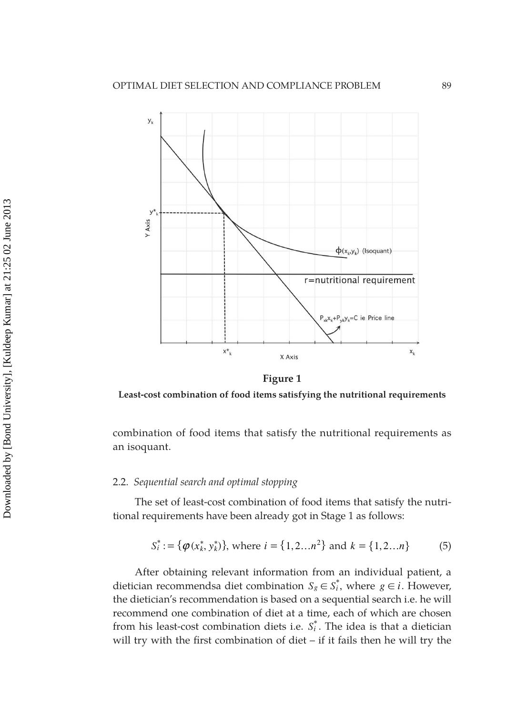

**Figure 1**

**Least-cost combination of food items satisfying the nutritional requirements**

combination of food items that satisfy the nutritional requirements as an isoquant.

#### 2.2. *Sequential search and optimal stopping*

The set of least-cost combination of food items that satisfy the nutritional requirements have been already got in Stage 1 as follows:

$$
S_i^* := \{ \varphi(x_k^*, y_k^*) \}, \text{ where } i = \{1, 2...n^2\} \text{ and } k = \{1, 2...n\} \tag{5}
$$

After obtaining relevant information from an individual patient, a dietician recommendsa diet combination  $S_g \in S_i^*$ , where  $g \in i$ . However, the dietician's recommendation is based on a sequential search i.e. he will recommend one combination of diet at a time, each of which are chosen from his least-cost combination diets i.e.  $S_i^*$ . The idea is that a dietician will try with the first combination of diet  $-$  if it fails then he will try the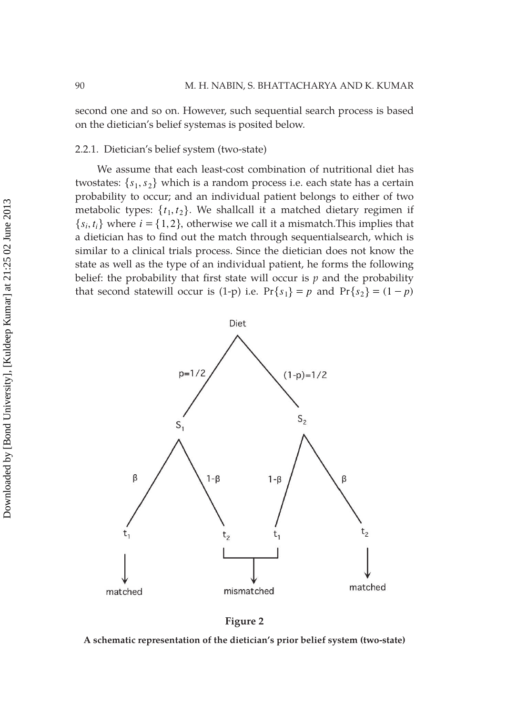second one and so on. However, such sequential search process is based on the dietician's belief systemas is posited below.

#### 2.2.1. Dietician's belief system (two-state)

We assume that each least-cost combination of nutritional diet has twostates:  $\{s_1, s_2\}$  which is a random process i.e. each state has a certain probability to occur; and an individual patient belongs to either of two metabolic types:  $\{t_1, t_2\}$ . We shallcall it a matched dietary regimen if  ${s_i, t_i}$  where  $i = \{1, 2\}$ , otherwise we call it a mismatch. This implies that a dietician has to find out the match through sequentialsearch, which is similar to a clinical trials process. Since the dietician does not know the state as well as the type of an individual patient, he forms the following belief: the probability that first state will occur is  $p$  and the probability that second statewill occur is (1-p) i.e.  $Pr{s_1} = p$  and  $Pr{s_2} = (1 - p)$ 



**Figure 2**

**A schematic representation of the dietician's prior belief system (two-state)**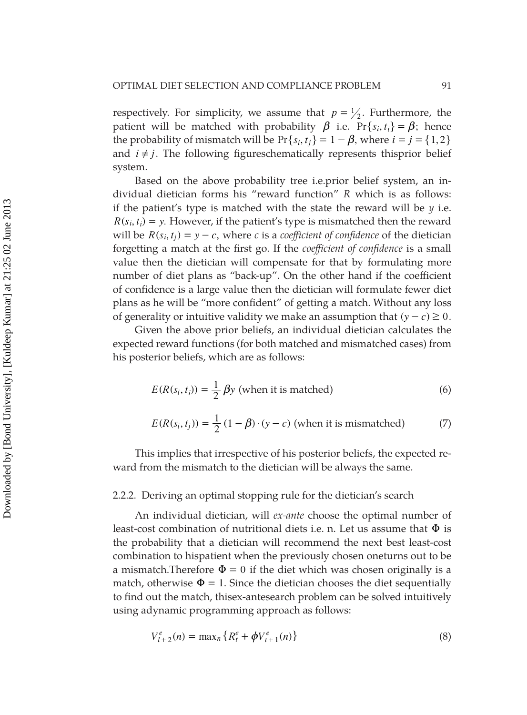respectively. For simplicity, we assume that  $p = \frac{1}{2}$ . Furthermore, the patient will be matched with probability  $\beta$  i.e.  $Pr\{s_i, t_i\} = \beta$ ; hence the probability of mismatch will be  $Pr{s_i, t_j} = 1 - \beta$ , where  $i = j = \{1, 2\}$ and  $i \neq j$ . The following figureschematically represents thisprior belief system.

Based on the above probability tree i.e.prior belief system, an individual dietician forms his "reward function" *R* which is as follows: if the patient's type is matched with the state the reward will be *y* i.e.  $R(s_i, t_i) = y$ . However, if the patient's type is mismatched then the reward will be  $R(s_i, t_j) = y - c$ , where *c* is a *coefficient of confidence* of the dietician forgetting a match at the first go. If the *coefficient of confidence* is a small value then the dietician will compensate for that by formulating more number of diet plans as "back-up". On the other hand if the coefficient of confidence is a large value then the dietician will formulate fewer diet plans as he will be "more confident" of getting a match. Without any loss of generality or intuitive validity we make an assumption that  $(y - c) \ge 0$ .

Given the above prior beliefs, an individual dietician calculates the expected reward functions (for both matched and mismatched cases) from his posterior beliefs, which are as follows:

$$
E(R(si, ti)) = \frac{1}{2} \beta y \text{ (when it is matched)}
$$
 (6)

$$
E(R(si, tj)) = \frac{1}{2} (1 - \beta) \cdot (y - c)
$$
 (when it is mismatched) (7)

This implies that irrespective of his posterior beliefs, the expected reward from the mismatch to the dietician will be always the same.

#### 2.2.2. Deriving an optimal stopping rule for the dietician's search

An individual dietician, will *ex-ante* choose the optimal number of least-cost combination of nutritional diets i.e. n. Let us assume that  $\Phi$  is the probability that a dietician will recommend the next best least-cost combination to hispatient when the previously chosen oneturns out to be a mismatch. Therefore  $\Phi = 0$  if the diet which was chosen originally is a match, otherwise  $\Phi = 1$ . Since the dietician chooses the diet sequentially to find out the match, thisex-antesearch problem can be solved intuitively using adynamic programming approach as follows:

$$
V_{l+2}^{e}(n) = \max_{n} \{ R_{t}^{e} + \phi V_{t+1}^{e}(n) \}
$$
\n(8)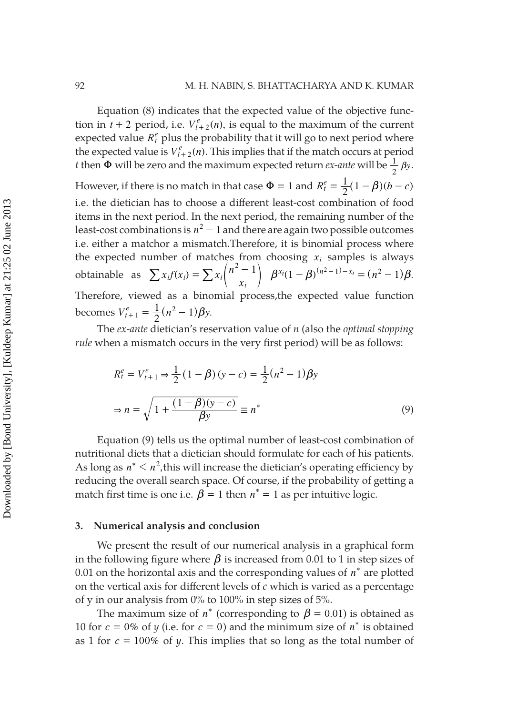Equation (8) indicates that the expected value of the objective function in  $t + 2$  period, i.e.  $V_{l+2}^e(n)$ , is equal to the maximum of the current expected value  $R_t^e$  plus the probability that it will go to next period where the expected value is  $V_{l+2}^e(n)$ . This implies that if the match occurs at period *t* then  $\Phi$  will be zero and the maximum expected return *ex-ante* will be  $\frac{1}{2}$   $\beta$ y. However, if there is no match in that case  $\Phi = 1$  and  $R_t^e = \frac{1}{2}(1 - \beta)(b - c)$ i.e. the dietician has to choose a different least-cost combination of food items in the next period. In the next period, the remaining number of the least-cost combinations is  $n^2 - 1$  and there are again two possible outcomes i.e. either a matchor a mismatch.Therefore, it is binomial process where the expected number of matches from choosing *xi* samples is always obtainable as  $\sum x_i f(x_i) = \sum x_i \binom{n^2 - x_i}{x_i}$  $_{i}f(x_{i}) = \sum x_{i} \binom{n^{2} - 1}{x_{i}}$  $\sum x_i f(x_i) = \sum x_i {n^2 - 1} \ \beta^{x_i} (1 - \beta)^{(n^2 - 1) - x_i} = (n^2 - 1)\beta.$ Therefore, viewed as a binomial process,the expected value function becomes  $V_{t+1}^e = \frac{1}{2} (n^2 - 1) \beta y$ .

The *ex-ante* dietician's reservation value of *n* (also the *optimal stopping rule* when a mismatch occurs in the very first period) will be as follows:

$$
R_t^e = V_{t+1}^e \Rightarrow \frac{1}{2} (1 - \beta)(y - c) = \frac{1}{2} (n^2 - 1) \beta y
$$
  

$$
\Rightarrow n = \sqrt{1 + \frac{(1 - \beta)(y - c)}{\beta y}} \equiv n^*
$$
 (9)

Equation (9) tells us the optimal number of least-cost combination of nutritional diets that a dietician should formulate for each of his patients. As long as  $n^* < n^2$ , this will increase the dietician's operating efficiency by reducing the overall search space. Of course, if the probability of getting a match first time is one i.e.  $\beta = 1$  then  $n^* = 1$  as per intuitive logic.

#### **3. Numerical analysis and conclusion**

We present the result of our numerical analysis in a graphical form in the following figure where  $\beta$  is increased from 0.01 to 1 in step sizes of 0.01 on the horizontal axis and the corresponding values of *n*\* are plotted on the vertical axis for different levels of *c* which is varied as a percentage of y in our analysis from 0% to 100% in step sizes of 5%.

The maximum size of  $n^*$  (corresponding to  $\beta = 0.01$ ) is obtained as 10 for  $c = 0\%$  of *y* (i.e. for  $c = 0$ ) and the minimum size of  $n^*$  is obtained as 1 for *c* = 100% of *y*. This implies that so long as the total number of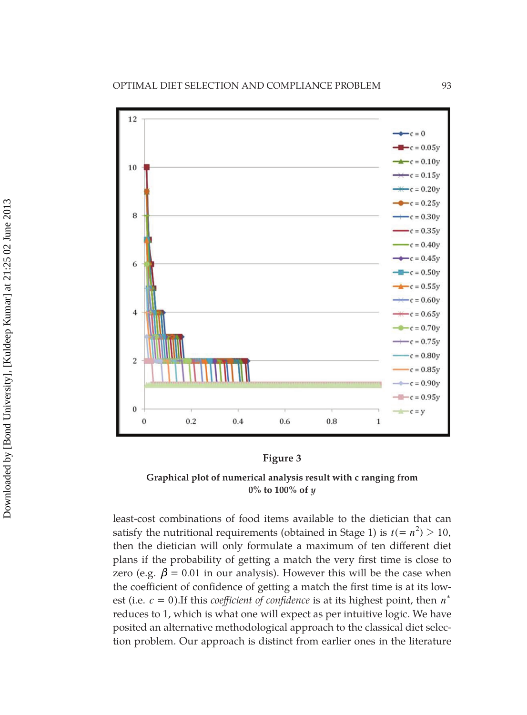

#### **Figure 3**

**Graphical plot of numerical analysis result with c ranging from 0% to 100% of** *y*

least-cost combinations of food items available to the dietician that can satisfy the nutritional requirements (obtained in Stage 1) is  $t (= n^2) > 10$ , then the dietician will only formulate a maximum of ten different diet plans if the probability of getting a match the very first time is close to zero (e.g.  $\beta$  = 0.01 in our analysis). However this will be the case when the coefficient of confidence of getting a match the first time is at its lowest (i.e.  $c = 0$ ). If this *coefficient* of *confidence* is at its highest point, then  $n^*$ reduces to 1, which is what one will expect as per intuitive logic. We have posited an alternative methodological approach to the classical diet selection problem. Our approach is distinct from earlier ones in the literature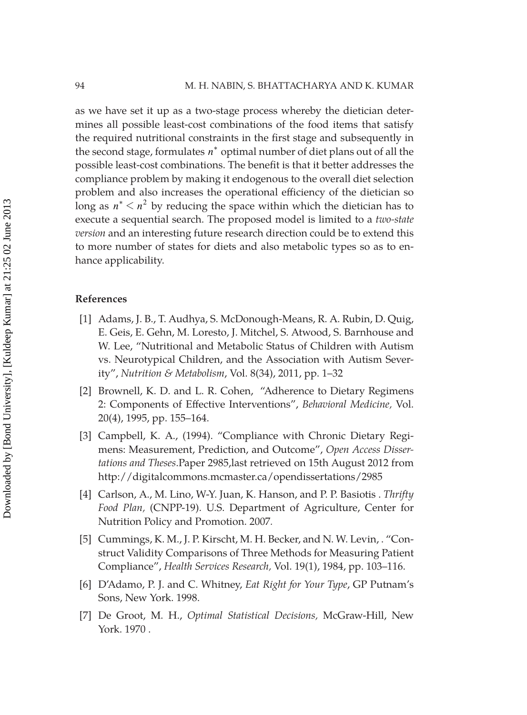as we have set it up as a two-stage process whereby the dietician determines all possible least-cost combinations of the food items that satisfy the required nutritional constraints in the first stage and subsequently in the second stage, formulates *n*\* optimal number of diet plans out of all the possible least-cost combinations. The benefit is that it better addresses the compliance problem by making it endogenous to the overall diet selection problem and also increases the operational efficiency of the dietician so long as  $n^* < n^2$  by reducing the space within which the dietician has to execute a sequential search. The proposed model is limited to a *two-state version* and an interesting future research direction could be to extend this to more number of states for diets and also metabolic types so as to enhance applicability.

#### **References**

- [1] Adams, J. B., T. Audhya, S. McDonough-Means, R. A. Rubin, D. Quig, E. Geis, E. Gehn, M. Loresto, J. Mitchel, S. Atwood, S. Barnhouse and W. Lee, "Nutritional and Metabolic Status of Children with Autism vs. Neurotypical Children, and the Association with Autism Severity", *Nutrition & Metabolism*, Vol. 8(34), 2011, pp. 1–32
- [2] Brownell, K. D. and L. R. Cohen, "Adherence to Dietary Regimens 2: Components of Effective Interventions", *Behavioral Medicine*, Vol. 20(4), 1995, pp. 155–164.
- [3] Campbell, K. A., (1994). "Compliance with Chronic Dietary Regimens: Measurement, Prediction, and Outcome", *Open Access Dissertations and Theses*.Paper 2985,last retrieved on 15th August 2012 from http://digitalcommons.mcmaster.ca/opendissertations/2985
- [4] Carlson, A., M. Lino, W-Y. Juan, K. Hanson, and P. P. Basiotis . *Thrifty Food Plan,* (CNPP-19). U.S. Department of Agriculture, Center for Nutrition Policy and Promotion. 2007*.*
- [5] Cummings, K. M., J. P. Kirscht, M. H. Becker, and N. W. Levin, . "Construct Validity Comparisons of Three Methods for Measuring Patient Compliance", *Health Services Research,* Vol. 19(1), 1984, pp. 103–116.
- [6] D'Adamo, P. J. and C. Whitney, *Eat Right for Your Type*, GP Putnam's Sons, New York. 1998.
- [7] De Groot, M. H., *Optimal Statistical Decisions,* McGraw-Hill, New York. 1970 .